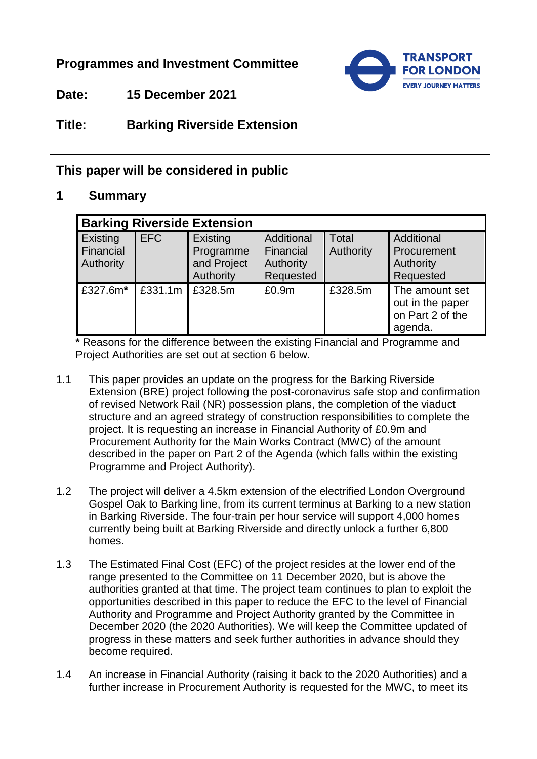## **Programmes and Investment Committee**



**Date: 15 December 2021**

# **Title: Barking Riverside Extension**

## **This paper will be considered in public**

### **1 Summary**

| <b>Barking Riverside Extension</b> |            |                                                   |                                                   |                    |                                                                   |  |
|------------------------------------|------------|---------------------------------------------------|---------------------------------------------------|--------------------|-------------------------------------------------------------------|--|
| Existing<br>Financial<br>Authority | <b>EFC</b> | Existing<br>Programme<br>and Project<br>Authority | Additional<br>Financial<br>Authority<br>Requested | Total<br>Authority | Additional<br>Procurement<br>Authority<br>Requested               |  |
| £327.6m*                           | £331.1m    | £328.5m                                           | £0.9m                                             | £328.5m            | The amount set<br>out in the paper<br>on Part 2 of the<br>agenda. |  |

**\*** Reasons for the difference between the existing Financial and Programme and Project Authorities are set out at section 6 below.

- 1.1 This paper provides an update on the progress for the Barking Riverside Extension (BRE) project following the post-coronavirus safe stop and confirmation of revised Network Rail (NR) possession plans, the completion of the viaduct structure and an agreed strategy of construction responsibilities to complete the project. It is requesting an increase in Financial Authority of £0.9m and Procurement Authority for the Main Works Contract (MWC) of the amount described in the paper on Part 2 of the Agenda (which falls within the existing Programme and Project Authority).
- 1.2 The project will deliver a 4.5km extension of the electrified London Overground Gospel Oak to Barking line, from its current terminus at Barking to a new station in Barking Riverside. The four-train per hour service will support 4,000 homes currently being built at Barking Riverside and directly unlock a further 6,800 homes.
- 1.3 The Estimated Final Cost (EFC) of the project resides at the lower end of the range presented to the Committee on 11 December 2020, but is above the authorities granted at that time. The project team continues to plan to exploit the opportunities described in this paper to reduce the EFC to the level of Financial Authority and Programme and Project Authority granted by the Committee in December 2020 (the 2020 Authorities). We will keep the Committee updated of progress in these matters and seek further authorities in advance should they become required.
- 1.4 An increase in Financial Authority (raising it back to the 2020 Authorities) and a further increase in Procurement Authority is requested for the MWC, to meet its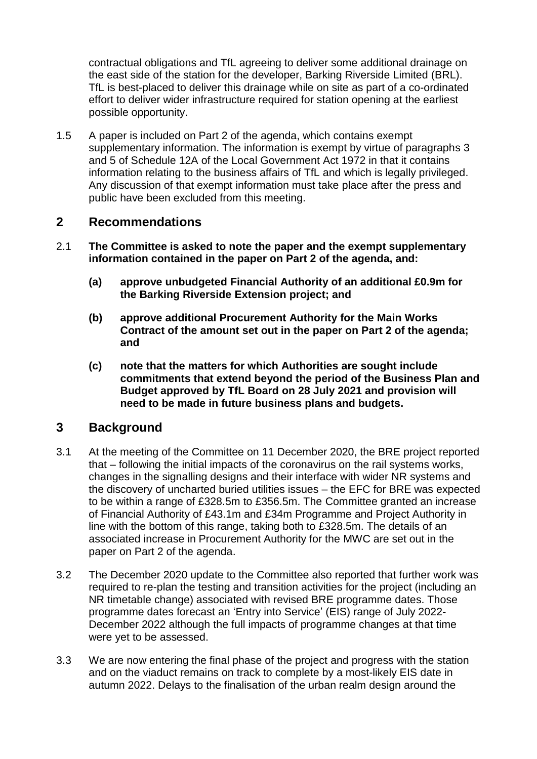contractual obligations and TfL agreeing to deliver some additional drainage on the east side of the station for the developer, Barking Riverside Limited (BRL). TfL is best-placed to deliver this drainage while on site as part of a co-ordinated effort to deliver wider infrastructure required for station opening at the earliest possible opportunity.

1.5 A paper is included on Part 2 of the agenda, which contains exempt supplementary information. The information is exempt by virtue of paragraphs 3 and 5 of Schedule 12A of the Local Government Act 1972 in that it contains information relating to the business affairs of TfL and which is legally privileged. Any discussion of that exempt information must take place after the press and public have been excluded from this meeting.

### **2 Recommendations**

- 2.1 **The Committee is asked to note the paper and the exempt supplementary information contained in the paper on Part 2 of the agenda, and:**
	- **(a) approve unbudgeted Financial Authority of an additional £0.9m for the Barking Riverside Extension project; and**
	- **(b) approve additional Procurement Authority for the Main Works Contract of the amount set out in the paper on Part 2 of the agenda; and**
	- **(c) note that the matters for which Authorities are sought include commitments that extend beyond the period of the Business Plan and Budget approved by TfL Board on 28 July 2021 and provision will need to be made in future business plans and budgets.**

### **3 Background**

- 3.1 At the meeting of the Committee on 11 December 2020, the BRE project reported that – following the initial impacts of the coronavirus on the rail systems works, changes in the signalling designs and their interface with wider NR systems and the discovery of uncharted buried utilities issues – the EFC for BRE was expected to be within a range of £328.5m to £356.5m. The Committee granted an increase of Financial Authority of £43.1m and £34m Programme and Project Authority in line with the bottom of this range, taking both to £328.5m. The details of an associated increase in Procurement Authority for the MWC are set out in the paper on Part 2 of the agenda.
- 3.2 The December 2020 update to the Committee also reported that further work was required to re-plan the testing and transition activities for the project (including an NR timetable change) associated with revised BRE programme dates. Those programme dates forecast an 'Entry into Service' (EIS) range of July 2022- December 2022 although the full impacts of programme changes at that time were yet to be assessed.
- 3.3 We are now entering the final phase of the project and progress with the station and on the viaduct remains on track to complete by a most-likely EIS date in autumn 2022. Delays to the finalisation of the urban realm design around the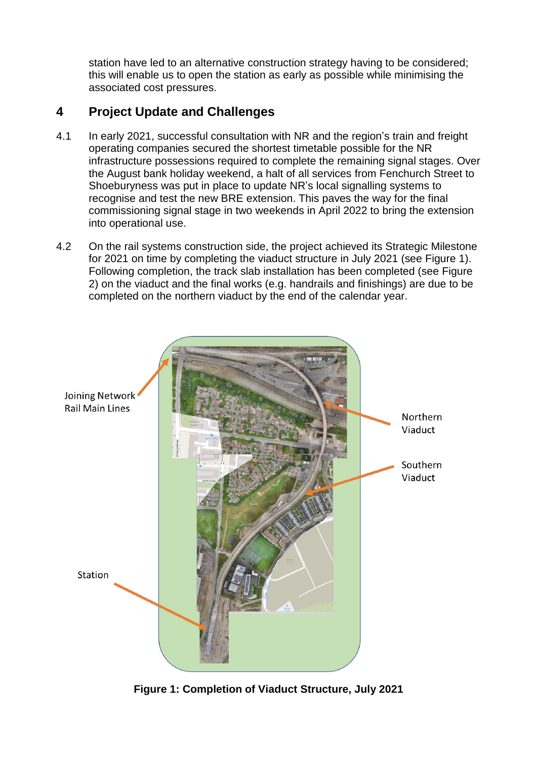station have led to an alternative construction strategy having to be considered; this will enable us to open the station as early as possible while minimising the associated cost pressures.

# **4 Project Update and Challenges**

- 4.1 In early 2021, successful consultation with NR and the region's train and freight operating companies secured the shortest timetable possible for the NR infrastructure possessions required to complete the remaining signal stages. Over the August bank holiday weekend, a halt of all services from Fenchurch Street to Shoeburyness was put in place to update NR's local signalling systems to recognise and test the new BRE extension. This paves the way for the final commissioning signal stage in two weekends in April 2022 to bring the extension into operational use.
- 4.2 On the rail systems construction side, the project achieved its Strategic Milestone for 2021 on time by completing the viaduct structure in July 2021 (see Figure 1). Following completion, the track slab installation has been completed (see Figure 2) on the viaduct and the final works (e.g. handrails and finishings) are due to be completed on the northern viaduct by the end of the calendar year.



**Figure 1: Completion of Viaduct Structure, July 2021**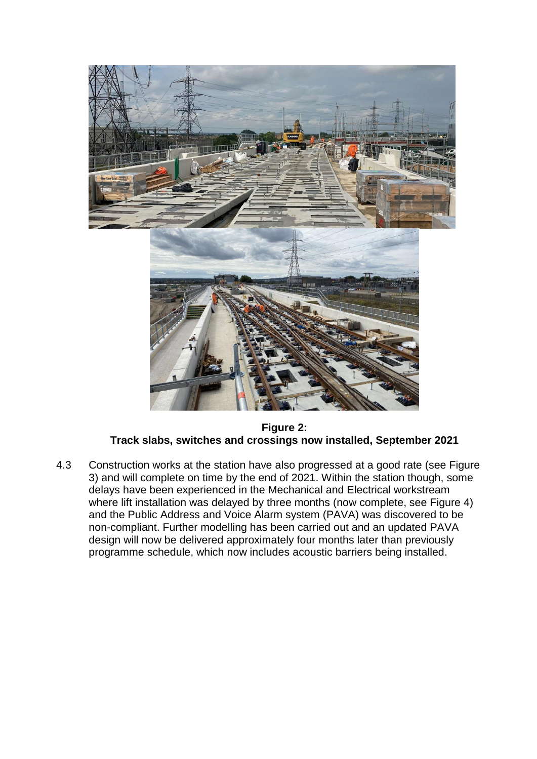

**Figure 2: Track slabs, switches and crossings now installed, September 2021**

4.3 Construction works at the station have also progressed at a good rate (see Figure 3) and will complete on time by the end of 2021. Within the station though, some delays have been experienced in the Mechanical and Electrical workstream where lift installation was delayed by three months (now complete, see Figure 4) and the Public Address and Voice Alarm system (PAVA) was discovered to be non-compliant. Further modelling has been carried out and an updated PAVA design will now be delivered approximately four months later than previously programme schedule, which now includes acoustic barriers being installed.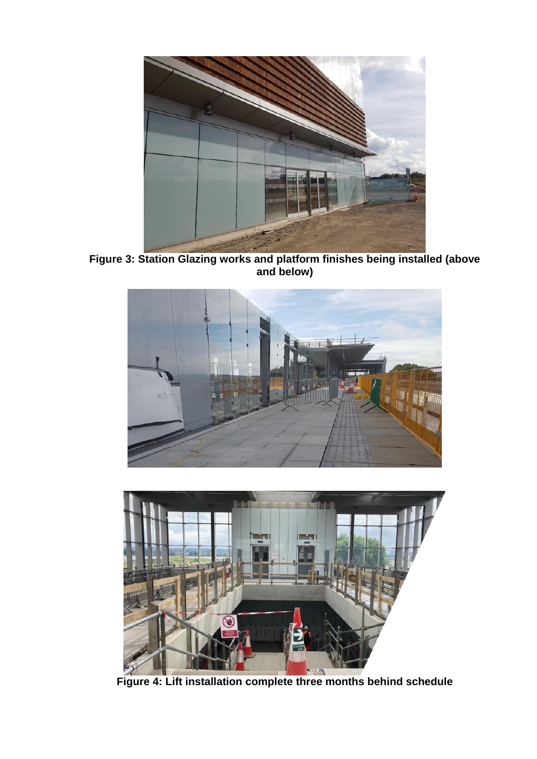

**Figure 3: Station Glazing works and platform finishes being installed (above and below)**





**Figure 4: Lift installation complete three months behind schedule**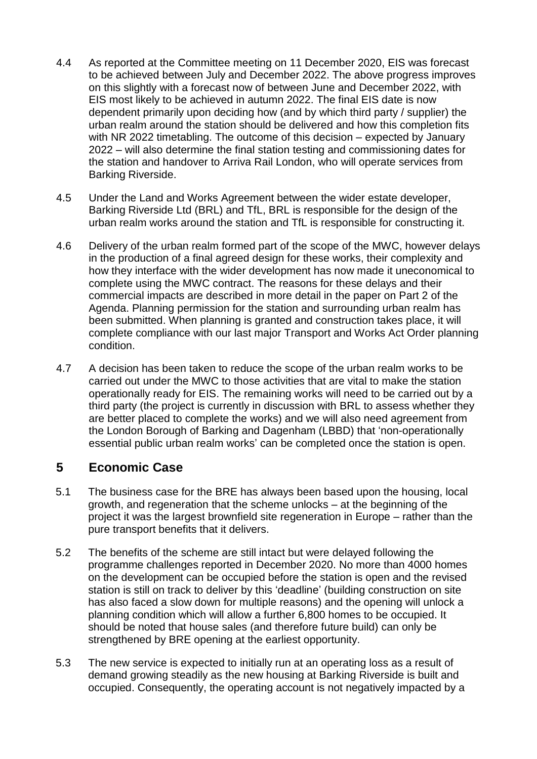- 4.4 As reported at the Committee meeting on 11 December 2020, EIS was forecast to be achieved between July and December 2022. The above progress improves on this slightly with a forecast now of between June and December 2022, with EIS most likely to be achieved in autumn 2022. The final EIS date is now dependent primarily upon deciding how (and by which third party / supplier) the urban realm around the station should be delivered and how this completion fits with NR 2022 timetabling. The outcome of this decision – expected by January 2022 – will also determine the final station testing and commissioning dates for the station and handover to Arriva Rail London, who will operate services from Barking Riverside.
- 4.5 Under the Land and Works Agreement between the wider estate developer, Barking Riverside Ltd (BRL) and TfL, BRL is responsible for the design of the urban realm works around the station and TfL is responsible for constructing it.
- 4.6 Delivery of the urban realm formed part of the scope of the MWC, however delays in the production of a final agreed design for these works, their complexity and how they interface with the wider development has now made it uneconomical to complete using the MWC contract. The reasons for these delays and their commercial impacts are described in more detail in the paper on Part 2 of the Agenda. Planning permission for the station and surrounding urban realm has been submitted. When planning is granted and construction takes place, it will complete compliance with our last major Transport and Works Act Order planning condition.
- 4.7 A decision has been taken to reduce the scope of the urban realm works to be carried out under the MWC to those activities that are vital to make the station operationally ready for EIS. The remaining works will need to be carried out by a third party (the project is currently in discussion with BRL to assess whether they are better placed to complete the works) and we will also need agreement from the London Borough of Barking and Dagenham (LBBD) that 'non-operationally essential public urban realm works' can be completed once the station is open.

## **5 Economic Case**

- 5.1 The business case for the BRE has always been based upon the housing, local growth, and regeneration that the scheme unlocks – at the beginning of the project it was the largest brownfield site regeneration in Europe – rather than the pure transport benefits that it delivers.
- 5.2 The benefits of the scheme are still intact but were delayed following the programme challenges reported in December 2020. No more than 4000 homes on the development can be occupied before the station is open and the revised station is still on track to deliver by this 'deadline' (building construction on site has also faced a slow down for multiple reasons) and the opening will unlock a planning condition which will allow a further 6,800 homes to be occupied. It should be noted that house sales (and therefore future build) can only be strengthened by BRE opening at the earliest opportunity.
- 5.3 The new service is expected to initially run at an operating loss as a result of demand growing steadily as the new housing at Barking Riverside is built and occupied. Consequently, the operating account is not negatively impacted by a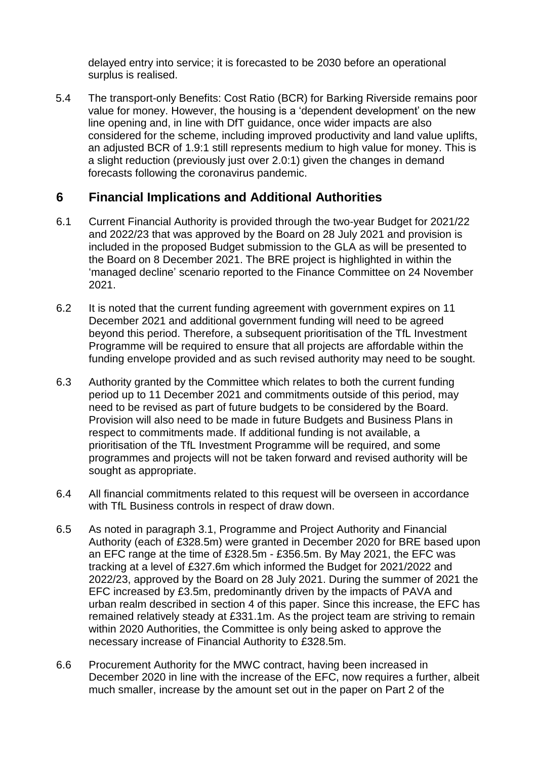delayed entry into service; it is forecasted to be 2030 before an operational surplus is realised.

5.4 The transport-only Benefits: Cost Ratio (BCR) for Barking Riverside remains poor value for money. However, the housing is a 'dependent development' on the new line opening and, in line with DfT guidance, once wider impacts are also considered for the scheme, including improved productivity and land value uplifts, an adjusted BCR of 1.9:1 still represents medium to high value for money. This is a slight reduction (previously just over 2.0:1) given the changes in demand forecasts following the coronavirus pandemic.

# **6 Financial Implications and Additional Authorities**

- 6.1 Current Financial Authority is provided through the two-year Budget for 2021/22 and 2022/23 that was approved by the Board on 28 July 2021 and provision is included in the proposed Budget submission to the GLA as will be presented to the Board on 8 December 2021. The BRE project is highlighted in within the 'managed decline' scenario reported to the Finance Committee on 24 November 2021.
- 6.2 It is noted that the current funding agreement with government expires on 11 December 2021 and additional government funding will need to be agreed beyond this period. Therefore, a subsequent prioritisation of the TfL Investment Programme will be required to ensure that all projects are affordable within the funding envelope provided and as such revised authority may need to be sought.
- 6.3 Authority granted by the Committee which relates to both the current funding period up to 11 December 2021 and commitments outside of this period, may need to be revised as part of future budgets to be considered by the Board. Provision will also need to be made in future Budgets and Business Plans in respect to commitments made. If additional funding is not available, a prioritisation of the TfL Investment Programme will be required, and some programmes and projects will not be taken forward and revised authority will be sought as appropriate.
- 6.4 All financial commitments related to this request will be overseen in accordance with TfL Business controls in respect of draw down.
- 6.5 As noted in paragraph 3.1, Programme and Project Authority and Financial Authority (each of £328.5m) were granted in December 2020 for BRE based upon an EFC range at the time of £328.5m - £356.5m. By May 2021, the EFC was tracking at a level of £327.6m which informed the Budget for 2021/2022 and 2022/23, approved by the Board on 28 July 2021. During the summer of 2021 the EFC increased by £3.5m, predominantly driven by the impacts of PAVA and urban realm described in section 4 of this paper. Since this increase, the EFC has remained relatively steady at £331.1m. As the project team are striving to remain within 2020 Authorities, the Committee is only being asked to approve the necessary increase of Financial Authority to £328.5m.
- 6.6 Procurement Authority for the MWC contract, having been increased in December 2020 in line with the increase of the EFC, now requires a further, albeit much smaller, increase by the amount set out in the paper on Part 2 of the